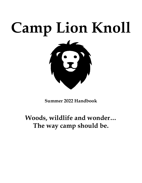# **Camp Lion Knoll**



**Summer 2022 Handbook**

# **Woods, wildlife and wonder… The way camp should be.**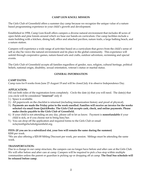#### **CAMP LION KNOLL MISSION**

The Girls Club of Greenfield offers a summer day camp because we recognize the unique value of a nature based programming experience in your child's growth and development.

Established in 1958, Camp Lion Knoll offers campers a diverse natural environment that includes 40 acres of open fields and pine forests around which we base our hands-on curriculum. Our camp facilities include a main building with a kitchen, dining hall, office and attached pavilion, nature trails, a large bathing beach, and a nature station.

Campers will experience a wide range of activities based on a curriculum that grows from the child's sense of self as she/he views the natural environment and its place in the global community. This experience will unfold through cooperative games, nature-based arts and crafts, outdoor adventure, swimming and special events.

The Girls Club of Greenfield accepts all families regardless of gender, race, religion, cultural heritage, political beliefs, national origin, disability, sexual orientation, veteran's status or marital status.

#### **GENERAL INFORMATION**

#### **CAMP DATES:**

Camp runs for 8 weeks from June 27-August 19 and will be closed July 4 to observe Independence Day.

#### **APPLICATION:**

Fill out both sides of the registration form completely. Circle the date (s) that you will need. The date(s) that you circle will be considered **"reserved"** only if:

- 1.) Space is available.
- 2.) All paperwork on the checklist is returned (including immunization history and proof of physical).
- 3.) **Payments are made the Friday prior to the week enrolled. Families will receive an invoice for the weeks selected via email from QuickBooks. The Girls Club accepts cash, check, and online payments. Please make checks payable to the Girls Club of Greenfield.**
- 4.) If your child is not attending on any day, please call to let us know. Payment is **nonrefundable** if your child is sick, or if you choose not to bring him/her.
- 5.) You can drop off the application and required forms to the Girls Club or email nclayton@girlsclubofgreenfield.org.

### **FEES: (If you are in a subsidized slot, your fees will remain the same during the summer)**

\$200 per week.

\*We are also offering a \$20.00 Sibling Discount per week, per session. Siblings must be attending the same week.

#### **TRANSPORTATION:**

Due to a change in our camp structure, the campers can no longer have before and after care at the Girls Club. We will offer before and after care at camp. Campers will be required to pick a bus stop within multiple communities unless the parent or guardian is picking up or dropping off at camp. **The final bus schedule will be released before camp.**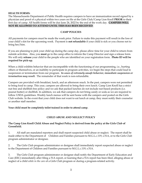#### **HEALTH FORMS:**

The Massachusetts Department of Public Health requires campers to have an immunization record signed by a physician and proof of a physical within two years on file at the Girls Club/Camp Lion Knoll **PRIOR** to their first day of camp. All health forms will be due June 24, 2022 by the end of the work day. **CAMPERS WILL NOT BE ALLOWED TO ATTEND UNTIL THIS HAS BEEN RECEIVED**.

#### **CAMP POLICIES**

All payments for campers must be made the week prior. Failure to make this payment will result in the loss of your child's slot for the upcoming week. Payment is **not refundable** if your child is sick or you choose not to bring her/him.

If you are planning to pick your child up during the camp day, please allow time for your child to return from outside activities. Also, you **must** go to the camp office to inform the Camp Director and sign a release form. We will only **release** your child to the people who are identified on your registration form. **Photo ID will be required for pick-up.** 

When a child exhibits behavior that are incompatible with the functioning of our programming, i.e., hurting others or themselves, or an inability to participate in program activities, we begin the steps that could lead to suspension or termination from our program. *In cases of extremely unsafe behavior, immediate suspension or termination may result.* The remainder of that week is non-refundable.

Campers are provided with breakfast, lunch, and an afternoon snack. In the past, campers were not permitted to bring food to camp. This year, campers are allowed to bring their own lunch. Camp Lion Knoll has a strict nut free and shellfish free policy and we ask that packed lunches do not include nut-based products (i.e. peanut butter) or shellfish. In addition, we ask that campers do not bring candy or soda as we are required to follow USDA guidelines. Weekly lunch menus will be sent home with the campers and posted on the Girls Club website. In the event that your child does not want to eat lunch at camp, they must notify their counselor or another staff member.

**Your child must be completely toilet trained in order to attend camp.**

#### **CHILD ABUSE AND NEGLECT POLICY**

#### **The Camp Lion Knoll Child Abuse and Neglect Policy is derived from the policy at the Girls Club of Greenfield.**

1. All staff are mandated reporters and shall report suspected child abuse or neglect. The report shall be made either to the Department of Children and Families pursuant to M.G.L.c.119, s.51A, or to the Girls Club program administrator or designee.

2. The Girls Club program administrator or designee shall immediately report suspected abuse or neglect to the Department of Children and Families pursuant to M.G.L.c.119, s.51A.

3. The Girls Club program administrator or designee shall notify the Department of Early Education and Care (EEC) immediately after filing a 51A report, or learning that a 51A report has been filed, alleging abuse or neglect of a child *while in the care* of a Girls Club program or during a program-related activity.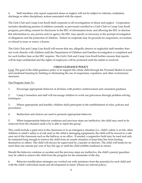4. Staff members who report suspected abuse or neglect will not be subject to criticism, retaliation, discharge or other disciplinary actions associated with the report.

The Girls Club and Camp Lion Knoll shall cooperate in all investigations of abuse and neglect. Cooperation includes identifying parents of children currently or previously enrolled in a Girls Club or Camp Lion Knoll program; providing consent for disclosure to the EEC of information from, and allowing the EEC to disclose this information to, any person and/or agency the EEC may specify as necessary to the prompt investigation of allegations and the protection of children. Failure to cooperate may be grounds for suspension, revocation, or refusal to issue or renew a license.

The Girls Club and Camp Lion Knoll will ensure that any allegedly abusive or neglectful staff member does not work directly with children until the Department of Children and Families investigation is completed and for such further time as the EEC requires. The Girls Club and Camp Lion Knoll further ensures that reports will be kept confidential and the rights of employees will be protected until the matter is resolved.

#### **CHILD GUIDANCE POLICY**

Goal: The goal of the child guidance policy is to support the whole child through the Pyramid Model of social and emotional learning by limiting or eliminating the use of suspension, expulsion, and other exclusionary measures.

#### Our Program Aims To:

1. Encourage appropriate behavior at all times with positive reinforcement and consistent guidance.

2. Camp Counselors and staff will encourage children to work out grievances through problem solving techniques.

3. Where appropriate and feasible, children shall participate in the establishment of rules, policies and procedures.

4. Redirection and choices are used to promote appropriate behavior.

5. When inappropriate behavior continues and previous steps are ineffective, the child may need to be removed from the situation until s/he is able to rejoin the group.

This could include a quiet area in the classroom or in an emergency situation (i.e., child's safety is at risk, other children or adult's safety is at risk and/or the child is damaging equipment), the child will be moved to a safe area out of the classroom such as the hallway or an office. If needed, a supportive hold may be used and only be sustained long enough to remove the child from an unsafe situation or keep him/her from hurting themselves or others. The child will always be supervised by a teacher or director. The child will break for no more than one minute per year of her/his age or until the child exhibits readiness to return.

Should the behavior continue or escalate and the previous steps are ineffective, the child's parent/guardian may be called to remove the child from the program for the remainder of the day.

6. Behavior modification strategies are worked out with assistance from the parent(s) for each child and with the child's individual needs and development in mind. (Please see referral policy).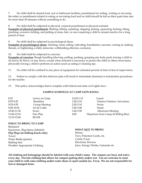7. No child shall be denied food, rest or bathroom facilities; punishment for soiling, wetting or not using the toilet; or punishment related to eating or not eating food and no child should be left on their quiet time mat for more than 20 minutes without something to do.

8. No child shall be subjected to physical, corporal punishment or physical restraint.

**Examples of physical punishment**: Shaking, hitting, spanking, slapping, jerking, squeezing, kicking, biting, pinching, excessive tickling, and pulling of arms, hair, or ears; requiring a child to remain inactive for a long period of time.

9. No child shall be subjected to psychological abuse.

**Examples of psychological abuse**: shaming, name calling, ridiculing, humiliation, sarcasm, cursing at, making threats, or frightening a child; ostracism, withholding affection, seclusion.

10. No child shall be subjected to coercion.

**Examples of coercion**: Rough handling (shoving, pulling, pushing, grasping any body part); forcing a child to sit down, lie down, or stay down, except when restraint is necessary to protect the child or others from harm; physically forcing a child to perform an action (such as eating or cleaning up).

11. No child will be confined to any piece of equipment for extended periods of time in lieu of supervision.

12. Failure to comply with this behavior plan will result in immediate dismissal or termination procedures for the teacher.

13. This policy acknowledges that it complies with federal and state civil rights laws.

#### **SAMPLE SCHEDULE AT CAMP LION KNOLL**

| 8:25        | Arrive at Camp   | 12:45-1:15  | Lunch                               |
|-------------|------------------|-------------|-------------------------------------|
| 8:55-9:25   | <b>Breakfast</b> | $1:20-2:10$ | Nature/Outdoor Adventure            |
| $9:25-9:35$ | Group Meeting    | $2:20-3:10$ | Swim                                |
| 9:40-10:30  | Art & Crafts     | $3:20-3:40$ | Snack                               |
| 10:40-11:30 | Swim             | $3:40-3:50$ | <b>Afternoon Meeting</b>            |
| 11:40-12:10 | Free Play        | 4:00        | Departure from Camp (If Riding Bus) |
| 12:10-12:40 | <b>ROAR</b>      |             |                                     |

#### **WHAT TO BRING TO CAMP**

**Backpack** Sunscreen /Bug Spray (labeled) **Flip Flops (at bathing beach only)** Towel Water Bottle (plastic) Bathing Suit Weather Appropriate Clothing

#### **WHAT NOT TO BRING**

Money Toys, Pokemon Cards, etc. Candy/Gum Electronic Devices Juice, Energy Drinks, Gatorade etc.

**All clothing and belongings should be labeled with your child's name. The campers are busy and active every day. Provide clothing that allows for campers getting dirty and/or wet. You are welcome to send your child in with extra clothing and/or water shoes or sport sandals (ex. Teva). We are not responsible for lost or damaged items.**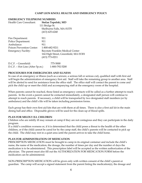#### **CAMP LION KNOLL HEALTH AND EMERGENCY POLICY**

| <b>EMERGENCY TELEPHONE NUMBERS</b> |                                       |  |  |  |
|------------------------------------|---------------------------------------|--|--|--|
| Health Care Consultant:            | Stefan Topolski, MD                   |  |  |  |
|                                    | 111 Bridge St.                        |  |  |  |
|                                    | Shelburne Falls, MA 01370             |  |  |  |
|                                    | $(413)$ 625-6240                      |  |  |  |
| Fire Department:                   | 911                                   |  |  |  |
| Police Department:                 | 911                                   |  |  |  |
| Ambulance:                         | 911                                   |  |  |  |
| <b>Poison Prevention Center:</b>   | 1-800-682-9211                        |  |  |  |
| <b>Emergency Facility:</b>         | Baystate Franklin Medical Center      |  |  |  |
|                                    | 164 High Street, Greenfield, MA 01301 |  |  |  |
|                                    | $(413) 773 - 0211$                    |  |  |  |
| D.C.F. - Greenfield:               | 775-5000                              |  |  |  |

## D.C.F. – Hot Line (After 5p.m.) 1-800-792-5200

#### **PROCEDURES FOR EMERGENCIES AND ILLNESS**

In case of an emergency or illness (such as a seizure, a serious fall or serious cut), qualified staff with first aid will begin the administration of emergency first aid. Staff will take the remaining group to another area. Staff will be alerted to send for assistance from the office staff. The office staff will contact the parent to come and pick the child up or meet the child and accompanying staff at the emergency room of the hospital.

When parents cannot be reached, those listed as emergency contacts will be called as a further attempt to reach parents. In the event a parent cannot be contacted immediately, a designated staff person will continue to attempt to reach parents. If necessary, a child will be transported by two designated staff members (or by ambulance) and the child's file will be taken including permission forms.

Each group has their own first aid kits that are with them at all times. There is also a first aid kit in the main dining hall and office. Disposable gloves will be used for the clean-up of blood spills.

#### **PLAN FOR MILDLY ILL CHILDREN**

Children who are mildly ill may remain at camp if they are not contagious and they can participate in the daily program.

If a child's condition worsens or, if it is determined that the child poses a threat to the health of the other children, or if the child cannot be cared for by the camp staff, the child's parents will be contacted to pick up the child. The child may rest in a quiet area until the parent arrives to take the child home.

#### **PLAN FOR ADMINISTRATION OF MEDICATION**

PRESCRIPTION MEDICATION must be brought to camp in its original container and include the child's name, the name of the medication, the dosage, the number of times per day and the number of days the medication is to be administered. This prescription label will be accepted as the written authorization of the physician. The parent must also fill out the AUTHORIZATION FOR MEDICATION FORM before the medication can be administered.

NON-PRESCRIPTION MEDICATION will be given only with written consent of the child's parent or guardian. The camp will accept a signed statement from the parent listing the medication(s), the dosage and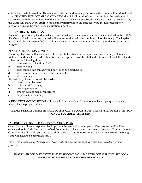criteria for its administration. This statement will be valid for one year. Again, the parent will need to fill out an AUTHORIZATION FOR MEDICATION FORM which allows the Camp to administer the medication in accordance with the written order of the physician. When written permission is given on an as needed basis, the Camp will make every effort to contact the parent prior to the child receiving the non-prescription medication unless the child needs medication urgently.

#### **INJURY PREVENTION PLAN**

An injury report for any incident which requires first aid or emergency care, will be maintained in the child's file. Only staff who have been trained will administer first aid no matter how minor the injury. The Leyden Board of Health will be notified if a child needs medical attention as a result of an injury that occurred at the program.

#### **PLAN FOR INFECTION CONTROL**

The camp shall ensure that staff and children wash their hands with liquid soap and running water, using friction. Hands shall be dried with individual or disposable towels. Staff and children will wash their hands at least at the following times:

- a. before eating or handling food;
- b. after toileting;
- c. after coming into contact with body fluids and discharges;
- d. after handling animals and their equipment;
- e. after cleaning

#### **At least daily, these items will be washed:**

- a. toilets and toilet seats;
- b. sinks and sink faucets;
- c. drinking fountains;
- d. smooth surface non-porous floors;
- e. mops used for cleaning

**A DISINFECTANT SOLUTION** will be a solution consisting of 1 teaspoon of bleach per quart of water, which shall be prepared daily.

#### **A MORE DETAILED HEALTH CARE POLICY CAN BE LOCATED IN THE OFFICE. PLEASE ASK FOR ONE IF YOU ARE INTERESTED.**

#### **EMERGENCY RESPONSE AND EVACUATION PLAN**

Camp Lion Knoll has a response plan in place in the event of an emergency. Campers and staff will be evacuated to the Girls Club or Greenfield Community College depending on our directive. Plans are on file at Camp Lion Knoll should you wish to read the specific plans. In the event of a power outage or water outage, camp will need to be dismissed early.

*Parents can request copies of background check, health care and discipline policies as well as procedures for filing grievances.*

#### *THANK YOU FOR TAKING THE TIME TO BECOME FAMILIAR WITH OUR POLICIES. WE LOOK FORWARD TO A HAPPY AND SAFE SUMMER FOR ALL.*